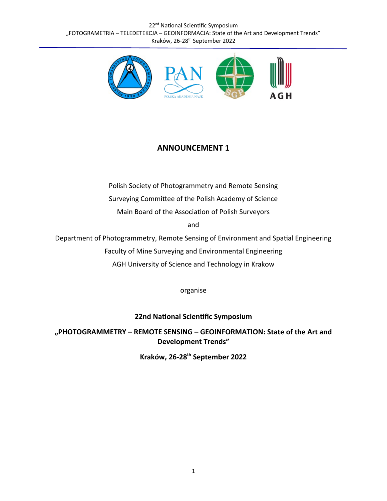22<sup>nd</sup> National Scientific Symposium "FOTOGRAMETRIA – TELEDETEKCJA – GEOINFORMACJA: State of the Art and Development Trends" Kraków, 26-28<sup>th</sup> September 2022



# **ANNOUNCEMENT 1**

Polish Society of Photogrammetry and Remote Sensing Surveying Committee of the Polish Academy of Science

Main Board of the Association of Polish Surveyors

and

Department of Photogrammetry, Remote Sensing of Environment and Spatial Engineering

Faculty of Mine Surveying and Environmental Engineering

AGH University of Science and Technology in Krakow

organise

**22nd National Scientific Symposium**

**"PHOTOGRAMMETRY – REMOTE SENSING – GEOINFORMATION: State of the Art and Development Trends"**

**Kraków, 26-28th September 2022**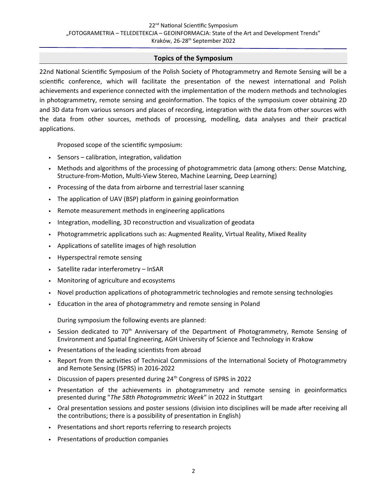## **Topics of the Symposium**

22nd National Scientific Symposium of the Polish Society of Photogrammetry and Remote Sensing will be a scientific conference, which will facilitate the presentation of the newest international and Polish achievements and experience connected with the implementation of the modern methods and technologies in photogrammetry, remote sensing and geoinformation. The topics of the symposium cover obtaining 2D and 3D data from various sensors and places of recording, integration with the data from other sources with the data from other sources, methods of processing, modelling, data analyses and their practical applications.

Proposed scope of the scientific symposium:

- Sensors calibration, integration, validation
- Methods and algorithms of the processing of photogrammetric data (among others: Dense Matching, Structure-from-Motion, Multi-View Stereo, Machine Learning, Deep Learning)
- Processing of the data from airborne and terrestrial laser scanning
- The application of UAV (BSP) platform in gaining geoinformation
- Remote measurement methods in engineering applications
- Integration, modelling, 3D reconstruction and visualization of geodata
- Photogrammetric applications such as: Augmented Reality, Virtual Reality, Mixed Reality
- Applications of satellite images of high resolution
- Hyperspectral remote sensing
- Satellite radar interferometry InSAR
- Monitoring of agriculture and ecosystems
- Novel production applications of photogrammetric technologies and remote sensing technologies
- Education in the area of photogrammetry and remote sensing in Poland

During symposium the following events are planned:

- Session dedicated to 70<sup>th</sup> Anniversary of the Department of Photogrammetry, Remote Sensing of Environment and Spatial Engineering, AGH University of Science and Technology in Krakow
- Presentations of the leading scientists from abroad
- Report from the activities of Technical Commissions of the International Society of Photogrammetry and Remote Sensing (ISPRS) in 2016-2022
- Discussion of papers presented during 24<sup>th</sup> Congress of ISPRS in 2022
- Presentation of the achievements in photogrammetry and remote sensing in geoinformatics presented during "*The 58th Photogrammetric Week*" in 2022 in Stuttgart
- Oral presentation sessions and poster sessions (division into disciplines will be made after receiving all the contributions; there is a possibility of presentation in English)
- Presentations and short reports referring to research projects
- Presentations of production companies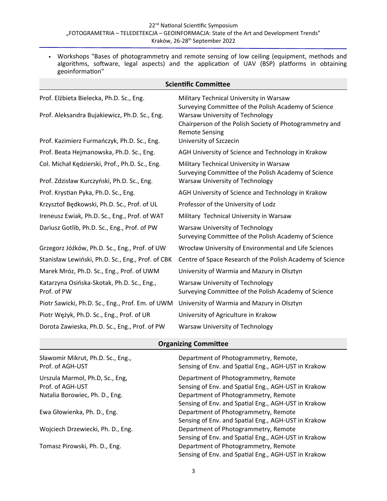• Workshops "Bases of photogrammetry and remote sensing of low ceiling (equipment, methods and algorithms, software, legal aspects) and the application of UAV (BSP) platforms in obtaining geoinformation"

| <b>Scientific Committee</b>                                                                                                              |                                                                                                                                                                                                                                                  |  |  |  |
|------------------------------------------------------------------------------------------------------------------------------------------|--------------------------------------------------------------------------------------------------------------------------------------------------------------------------------------------------------------------------------------------------|--|--|--|
| Prof. Elżbieta Bielecka, Ph.D. Sc., Eng.<br>Prof. Aleksandra Bujakiewicz, Ph.D. Sc., Eng.<br>Prof. Kazimierz Furmańczyk, Ph.D. Sc., Eng. | Military Technical University in Warsaw<br>Surveying Committee of the Polish Academy of Science<br>Warsaw University of Technology<br>Chairperson of the Polish Society of Photogrammetry and<br><b>Remote Sensing</b><br>University of Szczecin |  |  |  |
| Prof. Beata Hejmanowska, Ph.D. Sc., Eng.                                                                                                 | AGH University of Science and Technology in Krakow                                                                                                                                                                                               |  |  |  |
| Col. Michał Kędzierski, Prof., Ph.D. Sc., Eng.<br>Prof. Zdzisław Kurczyński, Ph.D. Sc., Eng.                                             | Military Technical University in Warsaw<br>Surveying Committee of the Polish Academy of Science<br><b>Warsaw University of Technology</b>                                                                                                        |  |  |  |
| Prof. Krystian Pyka, Ph.D. Sc., Eng.                                                                                                     | AGH University of Science and Technology in Krakow                                                                                                                                                                                               |  |  |  |
| Krzysztof Będkowski, Ph.D. Sc., Prof. of UL                                                                                              | Professor of the University of Lodz                                                                                                                                                                                                              |  |  |  |
| Ireneusz Ewiak, Ph.D. Sc., Eng., Prof. of WAT                                                                                            | Military Technical University in Warsaw                                                                                                                                                                                                          |  |  |  |
| Dariusz Gotlib, Ph.D. Sc., Eng., Prof. of PW                                                                                             | <b>Warsaw University of Technology</b><br>Surveying Committee of the Polish Academy of Science                                                                                                                                                   |  |  |  |
| Grzegorz Jóźków, Ph.D. Sc., Eng., Prof. of UW                                                                                            | Wrocław University of Environmental and Life Sciences                                                                                                                                                                                            |  |  |  |
| Stanisław Lewiński, Ph.D. Sc., Eng., Prof. of CBK                                                                                        | Centre of Space Research of the Polish Academy of Science                                                                                                                                                                                        |  |  |  |
| Marek Mróz, Ph.D. Sc., Eng., Prof. of UWM                                                                                                | University of Warmia and Mazury in Olsztyn                                                                                                                                                                                                       |  |  |  |
| Katarzyna Osińska-Skotak, Ph.D. Sc., Eng.,<br>Prof. of PW                                                                                | Warsaw University of Technology<br>Surveying Committee of the Polish Academy of Science                                                                                                                                                          |  |  |  |
| Piotr Sawicki, Ph.D. Sc., Eng., Prof. Em. of UWM                                                                                         | University of Warmia and Mazury in Olsztyn                                                                                                                                                                                                       |  |  |  |
| Piotr Wężyk, Ph.D. Sc., Eng., Prof. of UR                                                                                                | University of Agriculture in Krakow                                                                                                                                                                                                              |  |  |  |
| Dorota Zawieska, Ph.D. Sc., Eng., Prof. of PW                                                                                            | Warsaw University of Technology                                                                                                                                                                                                                  |  |  |  |

# **Organizing Committee**

| Sławomir Mikrut, Ph.D. Sc., Eng.,<br>Prof. of AGH-UST                                 | Department of Photogrammetry, Remote,<br>Sensing of Env. and Spatial Eng., AGH-UST in Krakow                                                       |
|---------------------------------------------------------------------------------------|----------------------------------------------------------------------------------------------------------------------------------------------------|
| Urszula Marmol, Ph.D, Sc., Eng,<br>Prof. of AGH-UST<br>Natalia Borowiec, Ph. D., Eng. | Department of Photogrammetry, Remote<br>Sensing of Env. and Spatial Eng., AGH-UST in Krakow<br>Department of Photogrammetry, Remote                |
| Ewa Głowienka, Ph. D., Eng.                                                           | Sensing of Env. and Spatial Eng., AGH-UST in Krakow<br>Department of Photogrammetry, Remote<br>Sensing of Env. and Spatial Eng., AGH-UST in Krakow |
| Wojciech Drzewiecki, Ph. D., Eng.                                                     | Department of Photogrammetry, Remote<br>Sensing of Env. and Spatial Eng., AGH-UST in Krakow                                                        |
| Tomasz Pirowski, Ph. D., Eng.                                                         | Department of Photogrammetry, Remote<br>Sensing of Env. and Spatial Eng., AGH-UST in Krakow                                                        |